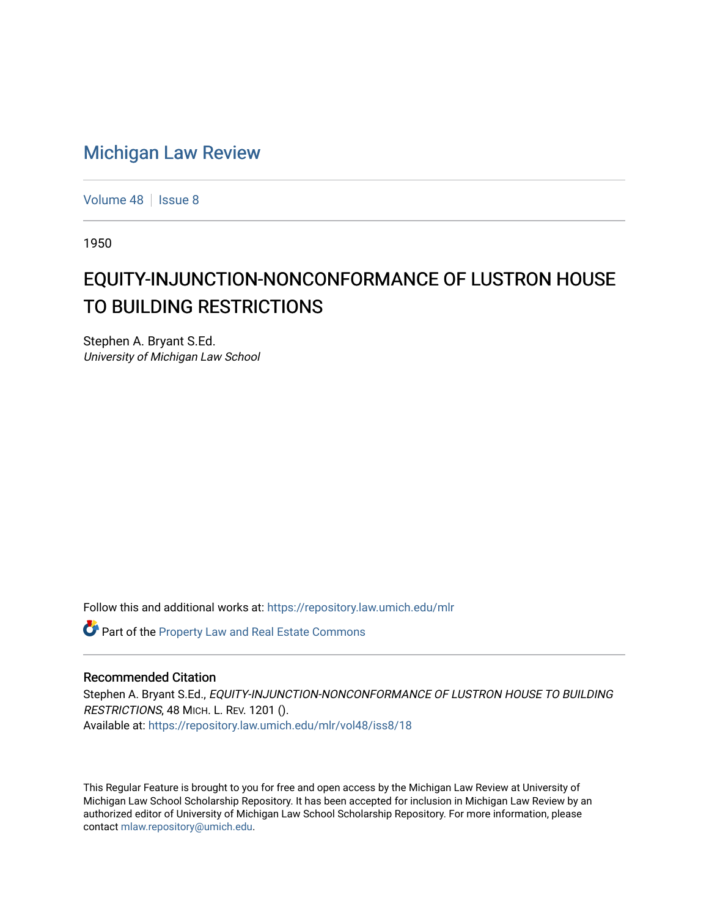## [Michigan Law Review](https://repository.law.umich.edu/mlr)

[Volume 48](https://repository.law.umich.edu/mlr/vol48) | [Issue 8](https://repository.law.umich.edu/mlr/vol48/iss8)

1950

## EQUITY-INJUNCTION-NONCONFORMANCE OF LUSTRON HOUSE TO BUILDING RESTRICTIONS

Stephen A. Bryant S.Ed. University of Michigan Law School

Follow this and additional works at: [https://repository.law.umich.edu/mlr](https://repository.law.umich.edu/mlr?utm_source=repository.law.umich.edu%2Fmlr%2Fvol48%2Fiss8%2F18&utm_medium=PDF&utm_campaign=PDFCoverPages) 

Part of the [Property Law and Real Estate Commons](http://network.bepress.com/hgg/discipline/897?utm_source=repository.law.umich.edu%2Fmlr%2Fvol48%2Fiss8%2F18&utm_medium=PDF&utm_campaign=PDFCoverPages) 

## Recommended Citation

Stephen A. Bryant S.Ed., EQUITY-INJUNCTION-NONCONFORMANCE OF LUSTRON HOUSE TO BUILDING RESTRICTIONS, 48 MICH. L. REV. 1201 (). Available at: [https://repository.law.umich.edu/mlr/vol48/iss8/18](https://repository.law.umich.edu/mlr/vol48/iss8/18?utm_source=repository.law.umich.edu%2Fmlr%2Fvol48%2Fiss8%2F18&utm_medium=PDF&utm_campaign=PDFCoverPages) 

This Regular Feature is brought to you for free and open access by the Michigan Law Review at University of Michigan Law School Scholarship Repository. It has been accepted for inclusion in Michigan Law Review by an authorized editor of University of Michigan Law School Scholarship Repository. For more information, please contact [mlaw.repository@umich.edu](mailto:mlaw.repository@umich.edu).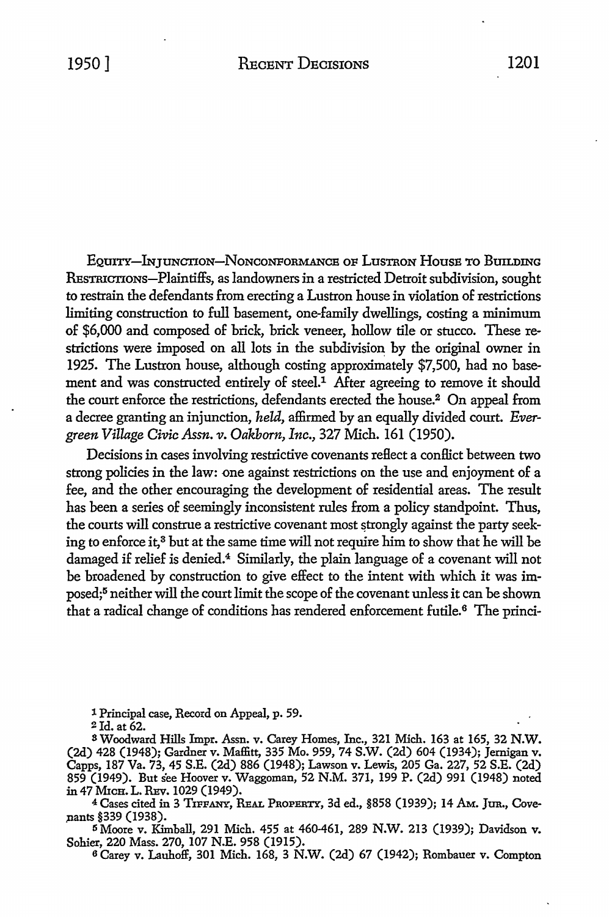EQUITY-INJUNCTION-NONCONFORMANCE OF LUSTRON HOUSE TO BUILDING REsTRICTIONs-Plaintiffs, as landowners in a restricted Detroit subdivision, sought to restrain the defendants from erecting a Lustron house in violation of restrictions limiting construction to full basement, one-family dwellings, costing a minimum of \$6,000 and composed of brick, brick veneer, hollow tile or stucco. These restrictions were imposed on all lots in the subdivision by the original owner in 1925. The Lustron house, although costing approximately \$7,500, had no basement and was constructed entirely of steel.<sup>1</sup> After agreeing to remove it should the court enforce the restrictions, defendants erected the house.<sup>2</sup> On appeal from a decree granting an injunction, *held,* affirmed by an equally divided court. *Evergreen Village Civic Assn. v. Oak.born, Inc.,* 327 Mich. 161 (1950).

Decisions in cases involving restrictive covenants reflect a conflict between two strong policies in the law: one against restrictions on the use and enjoyment of a fee, and the other encouraging the development of residential areas. The result has been a series of seemingly inconsistent rules from a policy standpoint. Thus, the courts will construe a restrictive covenant most strongly against the party seeking to enforce it,<sup>3</sup> but at the same time will not require him to show that he will be damaged if relief is denied.4 Similarly, the plain language of a covenant will not be broadened by construction to give effect to the intent with which it was imposed;5 neither will the court limit the scope of the covenant unless it can be shown that a radical change of conditions has rendered enforcement futile.<sup>6</sup> The princi-

1 Principal case, Record on Appeal, p. 59.

2Jd. at 62.

<sup>S</sup>Woodward Hills Impr. Assn. v. Carey Homes, Inc., 321 Mich. 163 at 165, 32 **N.W.**  (2d) 428 (1948); Gardner v. Maffitt, 335 Mo. 959, 74 S.W. (2d) 604 (1934); Jernigan v. Capps, 187 Va. 73, 45 S.E. (2d) 886 (1948); Lawson v. Lewis, 205 Ga. 227, 52 S.E. (2d) 859 (1949). But s'ee Hoover v. Waggoman, 52 N.M. 371, 199 P. (2d) 991 (1948) noted in 47 MICH. L. REV. 1029 (1949).

4 Cases cited in 3 TIFFANY, REAL PROPERTY, 3d ed., §858 (1939); 14 AM. *]UR.,* Cove nants §339 (1938).

<sup>5</sup>Moore v. Kimball, 291 Mich. 455 at 460-461, 289 N.W. 213 (1939); Davidson v. Sohier, 220 Mass. 270, 107 N.E. 958 (1915).

6 Carey v. Lauhoff, 301 Mich. 168, 3 N.W. (2d) 67 (1942); Rombauer v. Compton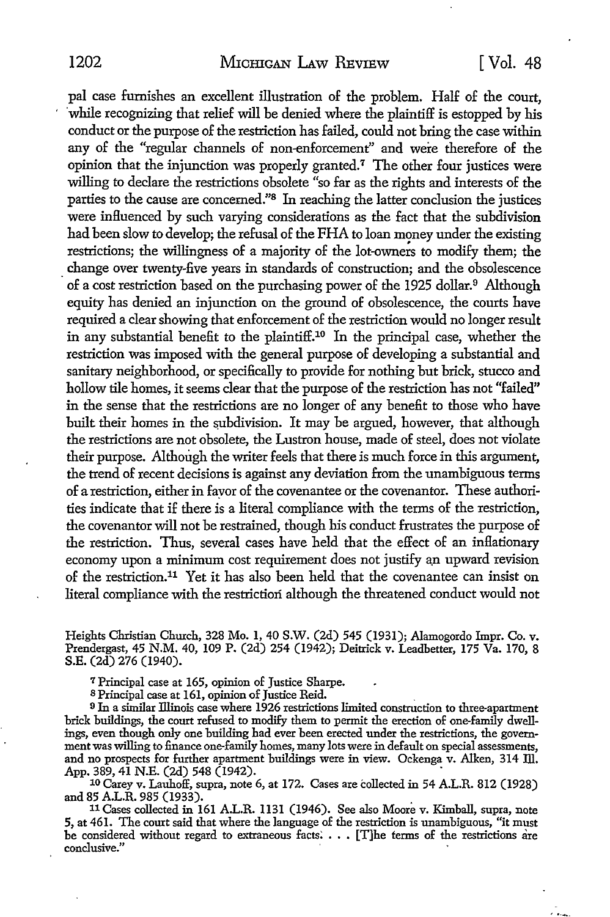pal case furnishes an excellent illustration of the problem. Half of the court, while recognizing that relief will be denied where the plaintiff is estopped by his conduct or the purpose of the restriction has failed, could not bring the case within any of the "regular channels of non-enforcement" and were therefore of the opinion that the injunction was properly granted.7 The other four justices were willing to declare the restrictions obsolete "so far as the rights and interests of the parties to the cause are concerned."8 In reaching the latter conclusion the justices were influenced by such varying considerations as the fact that the subdivision had been slow to develop; the refusal of the FHA to loan money under the existing restrictions; the willingness of a majority of the lot-owners to modify them; the change over twenty-five years in standards of construction; and the obsolescence of a cost restriction based on the purchasing power of the 1925 dollar.<sup>9</sup> Although equity has denied an injunction on the ground of obsolescence, the courts have required a clear showing that enforcement of the restriction would no longer result in any substantial benefit to the plaintiff.10 In the principal case, whether the restriction was imposed with the general purpose of developing a substantial and sanitary neighborhood, or specifically to provide for nothing but brick, stucco and hollow tile homes, it seems clear that the purpose of the restriction has not "failed" in the sense that the restrictions are no longer of any benefit to those who have built their homes in the subdivision. It may be argued, however, that although the restrictions are not obsolete, the Lustron house, made of steel, does not violate their purpose. Although the writer feels that there is much force in this argument, the trend of recent decisions is against any deviation from the unambiguous terms of a restriction, either in fayor of the covenantee or the covenantor. These authorities indicate that if there is a literal compliance with the terms of the restriction, the covenantor will not be restrained, though his conduct frustrates the purpose of the restriction. Thus, several cases have held that the effect of an inflationary economy upon a minimum cost requirement does not justify a\_n upward revision of the restriction.11 Yet it has also been held that the covenantee can insist on literal compliance with the restriction although the threatened conduct would not

Heights Christian Church, 328 Mo. 1, 40 S.W. (2d) 545 (1931); Alamogordo Impr. Co. v. Prendergast, 45 N.M. 40, 109 P. (2d) 254 (1942); Deitrick v. Leadbetter, 175 Va. 170, 8 S.E. (2d) 276 (1940).

<sup>7</sup>Principal case at 165, opinion of Justice Sharpe.

<sup>8</sup>Principal case at 161, opinion of Justice Reid. .

<sup>9</sup>In a similar Illinois case where 1926 restrictions limited construction to three-apartment brick buildings, the court refused to modify them to permit the erection of one-family dwellings, even though only one building had ever been erected under the restrictions, the government was willing to finance one-family homes, many lots were in default on special assessments, and no prospects for further apartment buildings were in view. Ockenga v. Alken, 314 Ill. App. 389, 41 N.E. (2d) 548 (1942).

10 Carey v. Lauhoff, supra, note 6, at 172. Cases are collected in 54 A.L.R. 812 (1928) and 85 A.L.R. 985 (1933).

<sup>11</sup>Cases collected in 161 A.L.R. 1131 (1946). See also Moore v. Kimball, supra, note 5, at 461. The court said that where the language of the restriction is unambiguous, "it must be considered without regard to extraneous facts: • • • [T]he terms of the restrictions are conclusive."